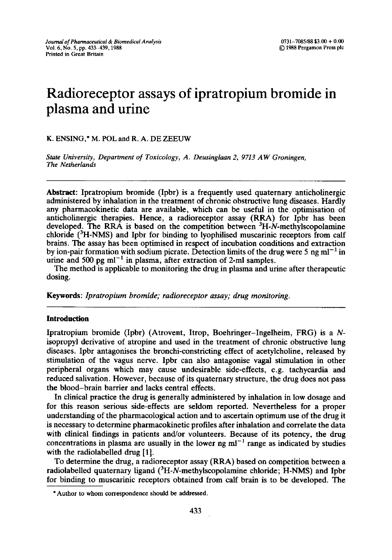# **Radioreceptor assays of ipratropium bromide in plasma and urine**

K. ENSING,\* M. POL and R. A. DE ZEEUW

*State University, Department of Toxicology, A. Deusinglaan 2, 9713 AW Groningen, The Netherlands* 

**Abstract:** Ipratropium bromide (Ipbr) is a frequently used quaternary anticholinergic administered by inhalation in the treatment of chronic obstructive lung diseases. Hardly any pharmacokinetic data are available, which can be useful in the optimisation of anticholinergic therapies. Hence, a radioreceptor assay (RRA) for Ipbr has been developed. The RRA is based on the competition between  ${}^{3}H$ -N-methylscopolamine chloride (3H-NMS) and Ipbr for binding to lyophilised muscarinic receptors from calf brains. The assay has been optimised in respect of incubation conditions and extraction by ion-pair formation with sodium picrate. Detection limits of the drug were 5 ng  $ml^{-1}$  in urine and 500 pg  $ml^{-1}$  in plasma, after extraction of 2-ml samples.

The method is applicable to monitoring the drug in plasma and urine after therapeutic dosing.

Keywords: *Ipratropium bromide; radioreceptor assay; drug monitoring.* 

#### **Introduction**

Ipratropium bromide (Ipbr) (Atrovent, Itrop, Boehringer-Ingelheim, FRG) is a Nisopropyl derivative of atropine and used in the treatment of chronic obstructive lung diseases. Ipbr antagonises the bronchi-constricting effect of acetylcholine, released by stimulation of the vagus nerve. Ipbr can also antagonise vagal stimulation in other peripheral organs which may cause undesirable side-effects, e.g. tachycardia and reduced salivation. However, because of its quaternary structure, the drug does not pass the blood-brain barrier and lacks central effects.

In clinical practice the drug is generally administered by inhalation in low dosage and for this reason serious side-effects are seldom reported. Nevertheless for a proper understanding of the pharmacological action and to ascertain optimum use of the drug it is necessary to determine pharmacokinetic profiles after inhalation and correlate the data with clinical findings in patients and/or volunteers. Because of its potency, the drug concentrations in plasma are usually in the lower ng  $ml^{-1}$  range as indicated by studies with the radiolabelled drug [1].

To determine the drug, a radioreceptor assay (RRA) based on competition between a radiolabelled quaternary ligand  $(^{3}H-N$ -methylscopolamine chloride; H-NMS) and Ipbr for binding to muscarinic receptors obtained from calf brain is to be developed. The

<sup>\*</sup> Author to whom correspondence should be addressed.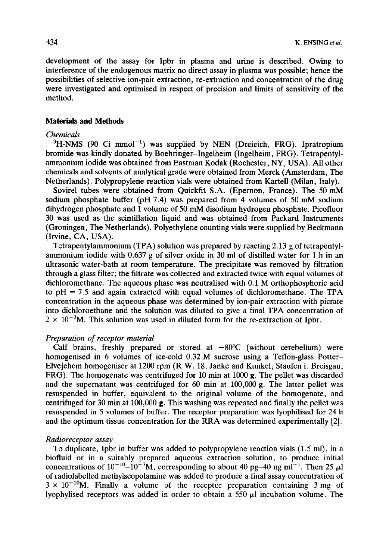development of the assay for Ipbr in plasma and urine is described. Owing to interference of the endogenous matrix no direct assay in plasma was possible; hence the possibilities of selective ion-pair extraction, re-extraction and concentration of the drug were investigated and optimised in respect of precision and limits of sensitivity of the method.

# **Materials and Methods**

## *Chemicals*

 $3H\text{-NMS}$  (90 Ci mmol<sup>-1</sup>) was supplied by NEN (Dreieich, FRG). Ipratropium bromide was kindly donated by Boehringer-Ingelheim (Ingelheim, FRG). Tetrapentylammonium iodide was obtained from Eastman Kodak (Rochester, NY, USA). All other chemicals and solvents of analytical grade were obtained from Merck (Amsterdam, The Netherlands). Polypropylene reaction vials were obtained from Kartell (Milan, Italy).

Sovirel tubes were obtained from Quickfit S.A. (Epernon, France). The 50 mM sodium phosphate buffer (pH 7.4) was prepared from 4 volumes of 50 mM sodium dihydrogen phosphate and 1 volume of 50 mM disodium hydrogen phosphate. Picofluor 30 was used as the scintillation liquid and was obtained from Packard Instruments (Groningen, The Netherlands). Polyethylene counting vials were supplied by Beckmann (Irvine, CA, USA).

Tetrapentylammonium (TPA) solution was prepared by reacting 2.13 g of tetrapentylammonium iodide with 0.637 g of silver oxide in 30 ml of distilled water for 1 h in an ultrasonic water-bath at room temperature. The precipitate was removed by filtration through a glass filter; the filtrate was collected and extracted twice with equal volumes of dichloromethane. The aqueous phase was neutralised with 0.1 M orthophosphoric acid to  $pH = 7.5$  and again extracted with equal volumes of dichloromethane. The TPA concentration in the aqueous phase was determined by ion-pair extraction with picrate into dichloroethane and the solution was diluted to give a final TPA concentration of  $2 \times 10^{-3}$ M. This solution was used in diluted form for the re-extraction of Ipbr.

# *Preparation of receptor material*

Calf brains, freshly prepared or stored at  $-80^{\circ}$ C (without cerebellum) were homogenised in 6 volumes of ice-cold 0.32 M sucrose using a Teflon-glass Potter-Elvejehem homogeniser at 1200 rpm (R.W. 18, Janke and Kunkel, Staufen i. Breisgau, FRG). The homogenate was centrifuged for 10 min at 1000 g. The pellet was discarded and the supernatant was centrifuged for  $60 \text{ min}$  at  $100,000 \text{ g}$ . The latter pellet was resuspended in buffer, equivalent to the original volume of the homogenate, and centrifuged for 30 min at  $100,000$  g. This washing was repeated and finally the pellet was resuspended in 5 volumes of buffer. The receptor preparation was lyophilised for 24 h and the optimum tissue concentration for the RRA was determined experimentally [2].

#### *Radioreceptor assay*

To duplicate, Ipbr in buffer was added to polypropylene reaction vials (1.5 ml), in a biofluid or in a suitably prepared aqueous extraction solution, to produce initial concentrations of  $10^{-10}$ - $10^{-7}$ M, corresponding to about 40 pg-40 ng ml<sup>-1</sup>. Then 25  $\mu$ l of radiolabelled methylscopolamine was added to produce a final assay concentration of  $3 \times 10^{-10}$ M. Finally a volume of the receptor preparation containing 3 mg of lyophylised receptors was added in order to obtain a  $550 \mu l$  incubation volume. The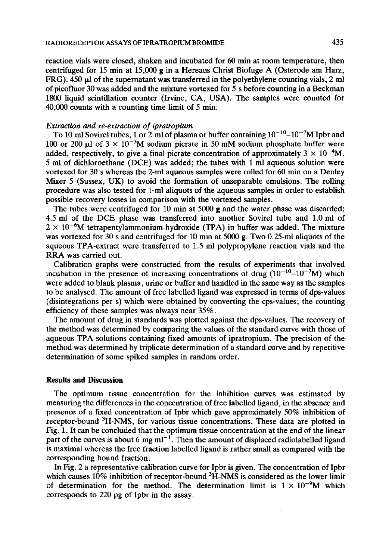reaction vials were closed, shaken and incubated for 60 min at room temperature, then centrifuged for 15 min at 15,000 g in a Hereaus Christ Biofuge A (Osterode am Harz, FRG). 450  $\mu$ l of the supernatant was transferred in the polyethylene counting vials, 2 ml of picofluor 30 was added and the mixture vortexed for 5 s before counting in a Beckman 1800 liquid scintillation counter (Irvine, CA, USA). The samples were counted for 40,000 counts with a counting time limit of 5 min.

#### *Extraction and re-extraction of ipratropium*

To 10 ml Sovirel tubes, 1 or 2 ml of plasma or buffer containing  $10^{-10} - 10^{-7}M$  Ipbr and 100 or 200  $\mu$ 1 of 3  $\times$  10<sup>-3</sup>M sodium picrate in 50 mM sodium phosphate buffer were added, respectively, to give a final picrate concentration of approximately  $3 \times 10^{-4}$ M. 5 ml of dichloroethane (DCE) was added; the tubes with 1 ml aqueous solution were vortexed for 30 s whereas the 2-ml aqueous samples were rolled for 60 min on a Denley Mixer 5 (Sussex, UK) to avoid the formation of unseparable emulsions. The rolling procedure was also tested for 1-ml aliquots of the aqueous samples in order to establish possible recovery losses in comparison with the vortexed samples.

The tubes were centrifuged for 10 min at 5000 g and the water phase was discarded; 4.5 ml of the DCE phase was transferred into another Sovirel tube and 1.0 ml of  $2 \times 10^{-6}$ M tetrapentylammonium-hydroxide (TPA) in buffer was added. The mixture was vortexed for 30 s and centrifuged for 10 min at 5000 g. Two 0.25-ml aliquots of the aqueous TPA-extract were transferred to 1.5 ml polypropylene reaction vials and the RRA was carried out.

Calibration graphs were constructed from the results of experiments that involved incubation in the presence of increasing concentrations of drug  $(10^{-10}-10^{-7}M)$  which were added to blank plasma, urine or buffer and handled in the same way as the samples to be analysed. The amount of free labelled ligand was expressed in terms of dps-values (disintegrations per s) which were obtained by converting the cps-values; the counting efficiency of these samples was always near 35%.

The amount of drug in standards was plotted against the dps-values. The recovery of the method was determined by comparing the values of the standard curve with those of aqueous TPA solutions containing fixed amounts of ipratropium. The precision of the method was determined by triplicate determination of a standard curve and by repetitive determination of some spiked samples in random order.

### **Results and Discussion**

The optimum tissue concentration for the inhibition curves was estimated by measuring the differences in the concentration of free labelled ligand, in the absence and presence of a fixed concentration of Ipbr which gave approximately 50% inhibition of receptor-bound <sup>3</sup>H-NMS, for various tissue concentrations. These data are plotted in Fig. 1. It can be concluded that the optimum tissue concentration at the end of the linear part of the curves is about 6 mg m $1^{-1}$ . Then the amount of displaced radiolabelled ligand is maximal whereas the free fraction labelled ligand is rather small as compared with the corresponding bound fraction.

In Fig. 2 a representative calibration curve for Ipbr is given. The concentration of Ipbr which causes  $10\%$  inhibition of receptor-bound  ${}^{3}$ H-NMS is considered as the lower limit of determination for the method. The determination limit is  $1 \times 10^{-9}$ M which corresponds to 220 pg of Ipbr in the assay.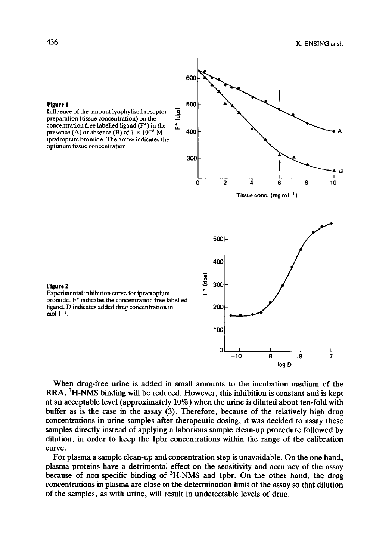

Influence of the amount lyophylised receptor ~. preparation (tissue concentration) on the concentration free labelled ligand (F<sup>\*</sup>) in the  $\frac{1}{L}$ presence (A) or absence (B) of  $1 \times 10^{-8}$  M 400 ipratropium bromide. The arrow indicates the optimum tissue concentration.

Figure 2

Experimental inhibition curve for ipratropium bromide. F\* indicates the concentration free labelled ligand. D indicates added drug concentration in mol  $1^{-1}$ .

When drug-free urine is added in small amounts to the incubation medium of the **RRA,** 3H-NMS binding will be reduced. However, this inhibition is constant and is kept at an acceptable level (approximately 10%) when the urine is diluted about ten-fold with buffer as is the case in the assay (3). Therefore, because of the relatively high drug concentrations in urine samples after therapeutic dosing, it was decided to assay these samples directly instead of applying a laborious sample clean-up procedure followed by dilution, in order to keep the Ipbr concentrations within the range of the calibration curve.

For plasma a sample clean-up and concentration step is unavoidable. On the one hand, plasma proteins have a detrimental effect on the sensitivity and accuracy of the assay because of non-specific binding of  ${}^{3}H$ -NMS and Ipbr. On the other hand, the drug concentrations in plasma are close to the determination limit of the assay so that dilution of the samples, as with urine, will result in undetectable levels of drug.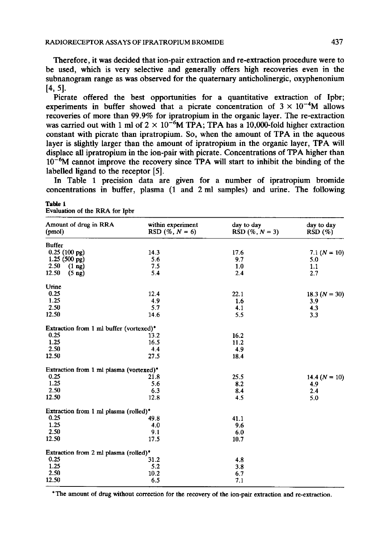**Therefore, it was decided that ion-pair extraction and re-extraction procedure were to be used, which is very selective and generally offers high recoveries even in the subnanogram range as was observed for the quaternary anticholinergic, oxyphenonium [4, 5].** 

**Picrate offered the best opportunities for a quantitative extraction of Ipbr;**  experiments in buffer showed that a picrate concentration of  $3 \times 10^{-4}$ M allows **recoveries of more than 99.9% for ipratropium in the organic layer. The re-extraction**  was carried out with 1 ml of  $2 \times 10^{-6}$ M TPA; TPA has a 10,000-fold higher extraction **constant with picrate than ipratropium. So, when the amount of TPA in the aqueous layer is slightly larger than the amount of ipratropium in the organic layer, TPA will displace all ipratropium in the ion-pair with picrate. Concentrations of TPA higher than 10-6M cannot improve the recovery since TPA will start to inhibit the binding of the labelled ligand to the receptor [5].** 

**In Table 1 precision data are given for a number of ipratropium bromide concentrations in buffer, plasma (1 and 2 ml samples) and urine. The following** 

| Amount of drug in RRA<br>(pmol)         | within experiment<br>RSD $(\% , N = 6)$ | day to day<br>RSD $(\% , N = 3)$ | day to day<br>RSD(%) |
|-----------------------------------------|-----------------------------------------|----------------------------------|----------------------|
| <b>Buffer</b>                           |                                         |                                  |                      |
| $0.25(100 \text{ pg})$                  | 14.3                                    | 17.6                             | $7.1 (N = 10)$       |
| $1.25(500 \text{ pg})$                  | 5.6                                     | 9.7                              | 5.0                  |
| 2.50<br>$(1 \text{ ng})$                | 7.5                                     | 1.0                              | 1.1                  |
| 12.50<br>$(5 \n{ng})$                   | 5.4                                     | 2.4                              | 2.7                  |
| Urine                                   |                                         |                                  |                      |
| 0.25                                    | 12.4                                    | 22.1                             | 18.3 $(N = 30)$      |
| 1.25                                    | 4.9                                     | 1.6                              | 3.9                  |
| 2.50                                    | 5.7                                     | 4.1                              | 4.3                  |
| 12.50                                   | 14.6                                    | 5.5                              | 3.3                  |
| Extraction from 1 ml buffer (vortexed)* |                                         |                                  |                      |
| 0.25                                    | 13.2                                    | 16.2                             |                      |
| 1.25                                    | 16.5                                    | 11.2                             |                      |
| 2.50                                    | 4.4                                     | 4.9                              |                      |
| 12.50                                   | 27.5                                    | 18.4                             |                      |
| Extraction from 1 ml plasma (vortexed)* |                                         |                                  |                      |
| 0.25                                    | 21.8                                    | 25.5                             | $14.4 (N = 10)$      |
| 1.25                                    | 5.6                                     | 8.2                              | 4.9                  |
| 2.50                                    | 6.3                                     | 8.4                              | 2.4                  |
| 12.50                                   | 12.8                                    | 4.5                              | 5.0                  |
| Extraction from 1 ml plasma (rolled)*   |                                         |                                  |                      |
| 0.25                                    | 49.8                                    | 41.1                             |                      |
| 1.25                                    | 4.0                                     | 9.6                              |                      |
| 2.50                                    | 9.1                                     | 6.0                              |                      |
| 12.50                                   | 17.5                                    | 10.7                             |                      |
| Extraction from 2 ml plasma (rolled)*   |                                         |                                  |                      |
| 0.25                                    | 31.2                                    | 4.8                              |                      |
| 1.25                                    | 5.2                                     | 3.8                              |                      |
| 2.50                                    | 10.2                                    | 6.7                              |                      |
| 12.50                                   | 6.5                                     | 7.1                              |                      |

Evaluation **of the RRA for Ipbr** 

**Table 1** 

**\* The amount of drug without correction for the recovery of the ion-pair extraction and re-extraction.**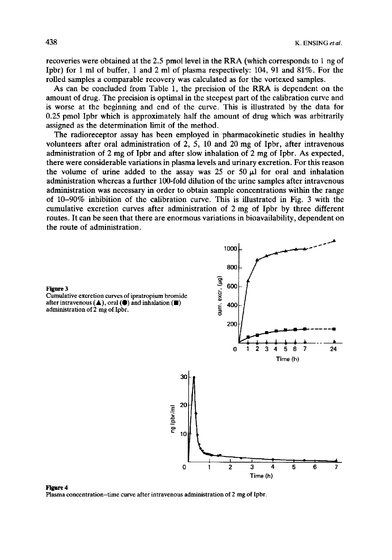recoveries were obtained at the 2.5 pmol level in the RRA (which corresponds to 1 ng of Ipbr) for 1 ml of buffer, 1 and 2 ml of plasma respectively: 104, 91 and 81%. For the roiled samples a comparable recovery was calculated as for the vortexed samples.

As can be concluded from Table 1, the precision of the RRA is dependent on the amount of drug. The precision is optimal in the steepest part of the calibration curve and is worse at the beginning and end of the curve. This is illustrated by the data for 0.25 pmol Ipbr which is approximately half the amount of drug which was arbitrarily assigned as the determination limit of the method.

The radioreceptor assay has been employed in pharmacokinetic studies in healthy volunteers after oral administration of 2, 5, 10 and 20 mg of Ipbr, after intravenous administration of 2 mg of Ipbr and after slow inhalation of 2 mg of Ipbr. As expected, there were considerable variations in plasma levels and urinary excretion. For this reason the volume of urine added to the assay was 25 or 50  $\mu$ 1 for oral and inhalation administration whereas a further 100-fold dilution of the urine samples after intravenous administration was necessary in order to obtain sample concentrations within the range of 10-90% inhibition of the calibration curve. This is illustrated in Fig. 3 with the cumulative excretion curves after administration of 2 mg of Ipbr by three different routes. It can be seen that there are enormous variations in bioavailability, dependent on the route of administration.



Figure 4 Plasma concentration-time curve after intravenous administration of 2 mg of Ipbr.